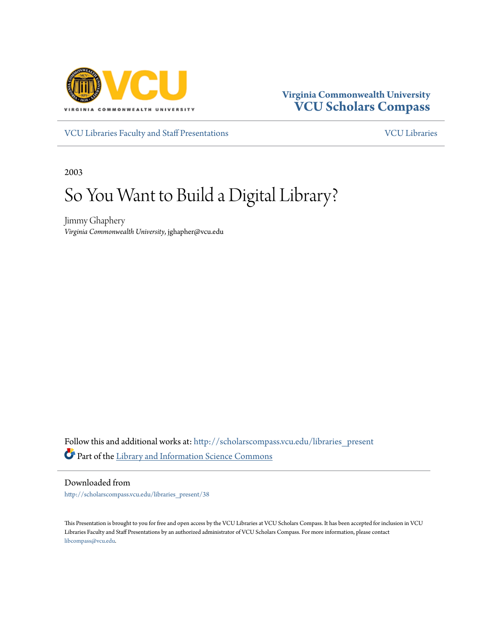

#### **Virginia Commonwealth University [VCU Scholars Compass](http://scholarscompass.vcu.edu?utm_source=scholarscompass.vcu.edu%2Flibraries_present%2F38&utm_medium=PDF&utm_campaign=PDFCoverPages)**

[VCU Libraries Faculty and Staff Presentations](http://scholarscompass.vcu.edu/libraries_present?utm_source=scholarscompass.vcu.edu%2Flibraries_present%2F38&utm_medium=PDF&utm_campaign=PDFCoverPages) [VCU Libraries](http://scholarscompass.vcu.edu/libraries?utm_source=scholarscompass.vcu.edu%2Flibraries_present%2F38&utm_medium=PDF&utm_campaign=PDFCoverPages)

2003

#### So You Want to Build a Digital Library?

Jimmy Ghaphery *Virginia Commonwealth University*, jghapher@vcu.edu

Follow this and additional works at: [http://scholarscompass.vcu.edu/libraries\\_present](http://scholarscompass.vcu.edu/libraries_present?utm_source=scholarscompass.vcu.edu%2Flibraries_present%2F38&utm_medium=PDF&utm_campaign=PDFCoverPages) Part of the [Library and Information Science Commons](http://network.bepress.com/hgg/discipline/1018?utm_source=scholarscompass.vcu.edu%2Flibraries_present%2F38&utm_medium=PDF&utm_campaign=PDFCoverPages)

Downloaded from

[http://scholarscompass.vcu.edu/libraries\\_present/38](http://scholarscompass.vcu.edu/libraries_present/38?utm_source=scholarscompass.vcu.edu%2Flibraries_present%2F38&utm_medium=PDF&utm_campaign=PDFCoverPages)

This Presentation is brought to you for free and open access by the VCU Libraries at VCU Scholars Compass. It has been accepted for inclusion in VCU Libraries Faculty and Staff Presentations by an authorized administrator of VCU Scholars Compass. For more information, please contact [libcompass@vcu.edu](mailto:libcompass@vcu.edu).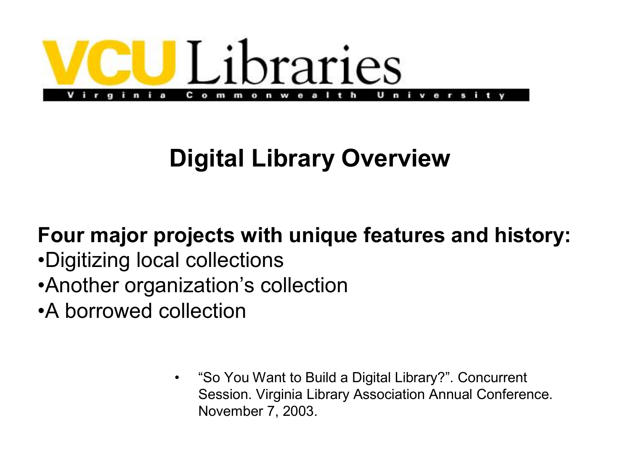

#### **Digital Library Overview**

#### **Four major projects with unique features and history:**

- •Digitizing local collections
- •Another organization's collection
- •A borrowed collection
	- "So You Want to Build a Digital Library?". Concurrent Session. Virginia Library Association Annual Conference. November 7, 2003.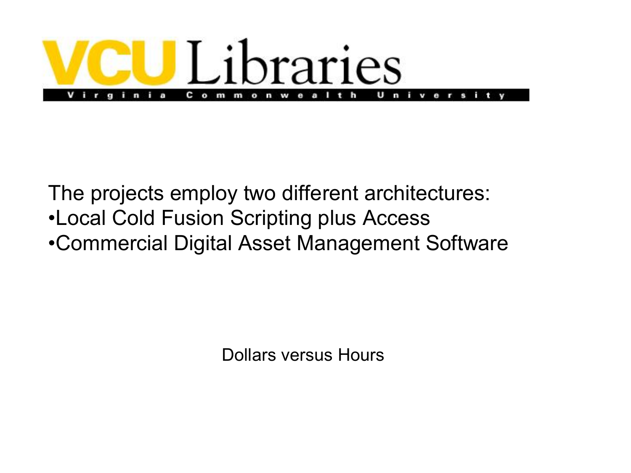

The projects employ two different architectures: •Local Cold Fusion Scripting plus Access •Commercial Digital Asset Management Software

Dollars versus Hours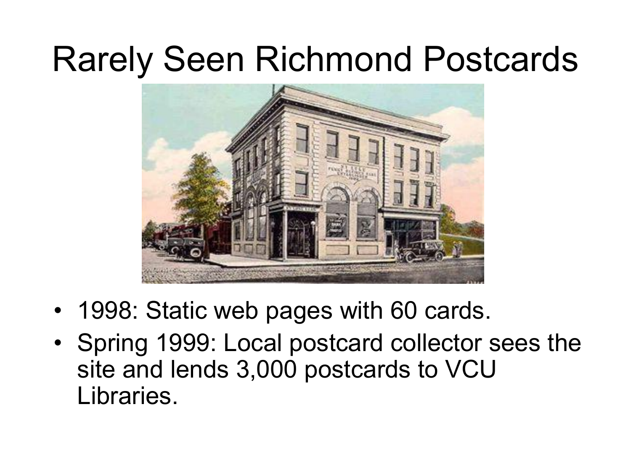#### Rarely Seen Richmond Postcards

![](_page_3_Picture_1.jpeg)

- 1998: Static web pages with 60 cards.
- Spring 1999: Local postcard collector sees the site and lends 3,000 postcards to VCU Libraries.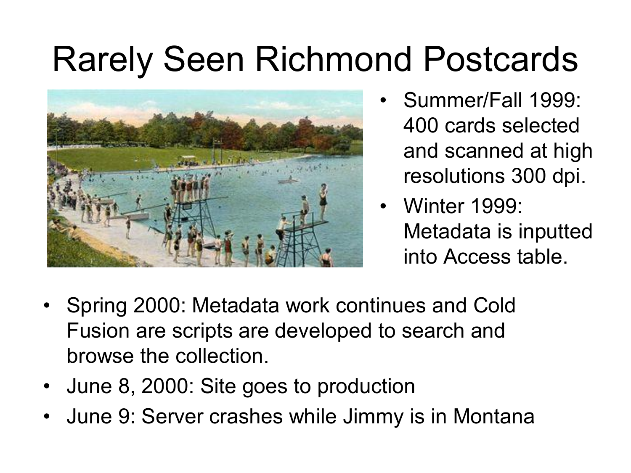#### Rarely Seen Richmond Postcards

![](_page_4_Picture_1.jpeg)

- Summer/Fall 1999: 400 cards selected and scanned at high resolutions 300 dpi.
- Winter 1999: Metadata is inputted into Access table.
- Spring 2000: Metadata work continues and Cold Fusion are scripts are developed to search and browse the collection.
- June 8, 2000: Site goes to production
- June 9: Server crashes while Jimmy is in Montana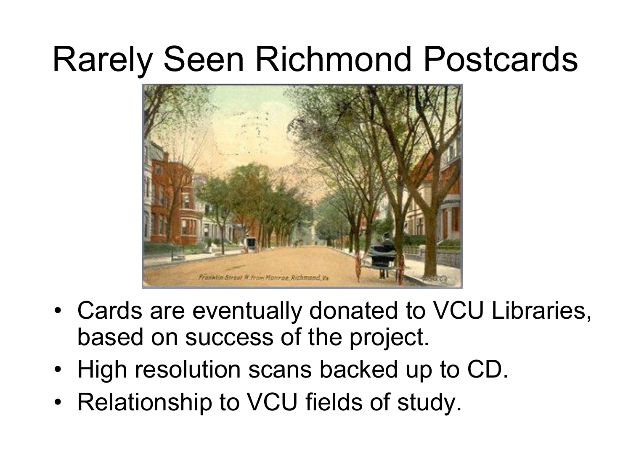#### Rarely Seen Richmond Postcards

![](_page_5_Picture_1.jpeg)

- Cards are eventually donated to VCU Libraries, based on success of the project.
- High resolution scans backed up to CD.
- Relationship to VCU fields of study.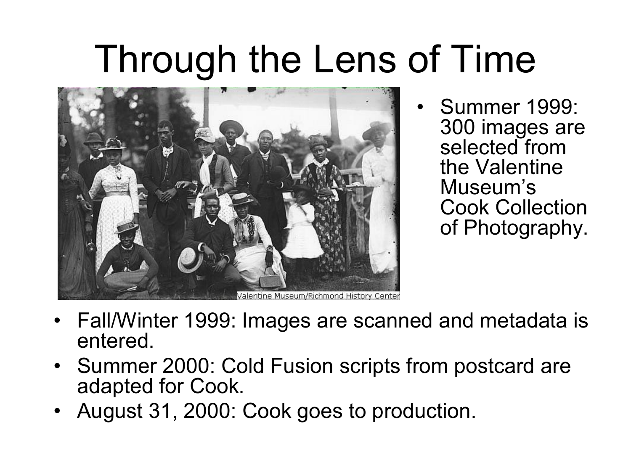### Through the Lens of Time

![](_page_6_Picture_1.jpeg)

• Summer 1999: 300 images are selected from the Valentine Museum's Cook Collection of Photography.

- Fall/Winter 1999: Images are scanned and metadata is entered.
- Summer 2000: Cold Fusion scripts from postcard are adapted for Cook.
- August 31, 2000: Cook goes to production.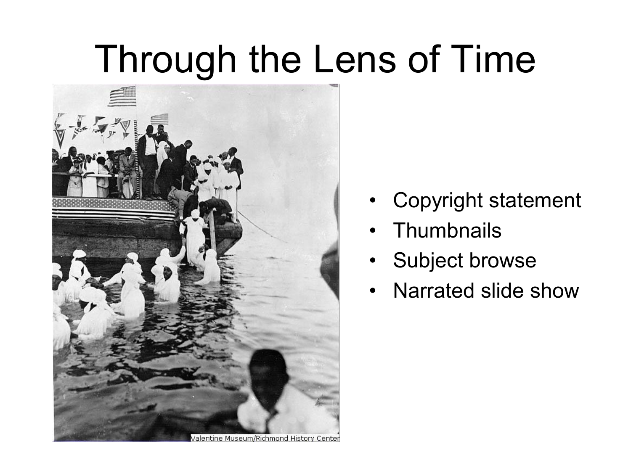### Through the Lens of Time

![](_page_7_Picture_1.jpeg)

- Copyright statement
- Thumbnails
- Subject browse
- Narrated slide show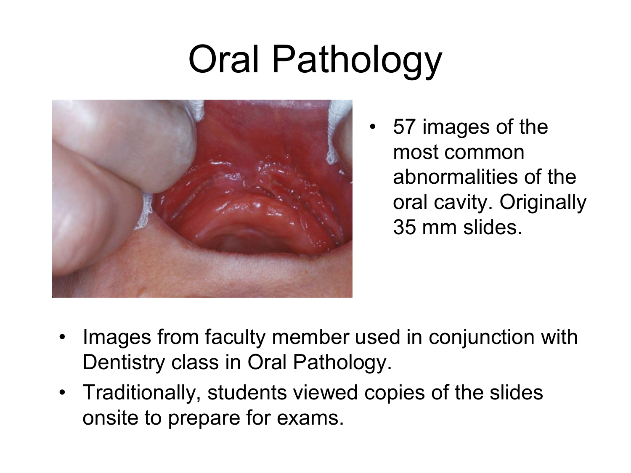## Oral Pathology

![](_page_8_Picture_1.jpeg)

• 57 images of the most common abnormalities of the oral cavity. Originally 35 mm slides.

- Images from faculty member used in conjunction with Dentistry class in Oral Pathology.
- Traditionally, students viewed copies of the slides onsite to prepare for exams.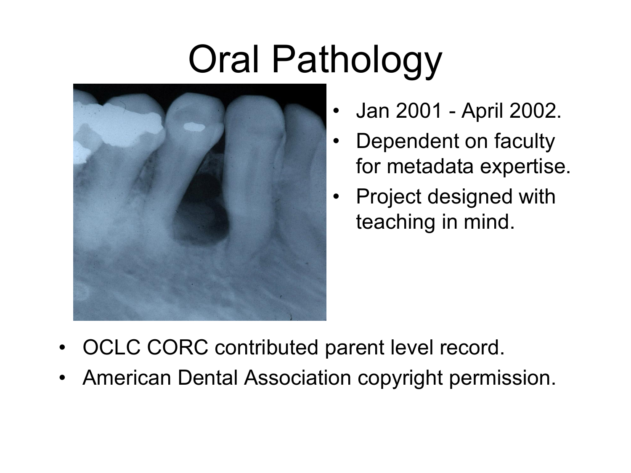# Oral Pathology

![](_page_9_Picture_1.jpeg)

- Jan 2001 April 2002.
- Dependent on faculty for metadata expertise.
- Project designed with teaching in mind.

- OCLC CORC contributed parent level record.
- American Dental Association copyright permission.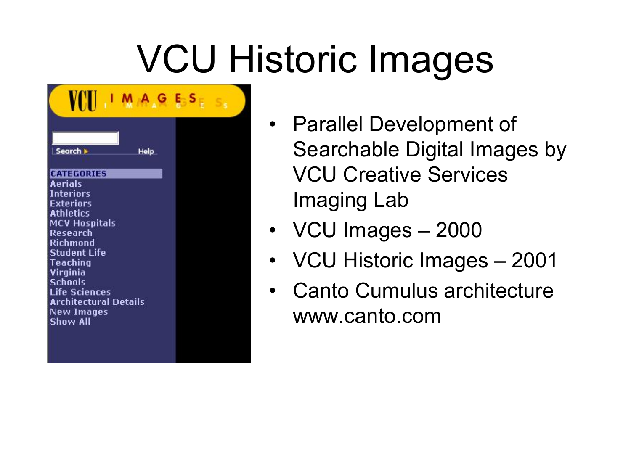# VCU Historic Images

| VINI                                                                                                                                                                                                                                                       |  |
|------------------------------------------------------------------------------------------------------------------------------------------------------------------------------------------------------------------------------------------------------------|--|
| Search ><br>Help                                                                                                                                                                                                                                           |  |
| <b>CATEGORIES</b><br><b>Aerials</b><br><b>Interiors</b><br>Exteriors<br><b>Athletics</b><br>MCV Hospitals<br>Research<br>Richmond<br><b>Student Life</b><br>Teaching<br>Virginia<br>Schools<br><b>Life Sciences</b><br>Architectural Details<br>New Images |  |
| Show All                                                                                                                                                                                                                                                   |  |

- Parallel Development of Searchable Digital Images by VCU Creative Services Imaging Lab
- VCU Images 2000
- VCU Historic Images 2001
- Canto Cumulus architecture www.canto.com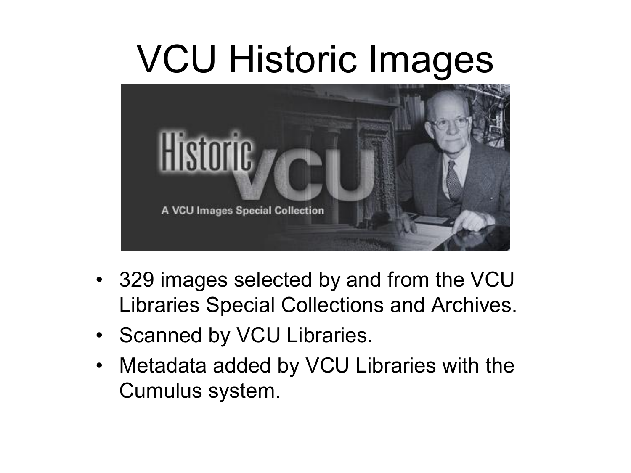### VCU Historic Images

![](_page_11_Picture_1.jpeg)

- 329 images selected by and from the VCU Libraries Special Collections and Archives.
- Scanned by VCU Libraries.
- Metadata added by VCU Libraries with the Cumulus system.